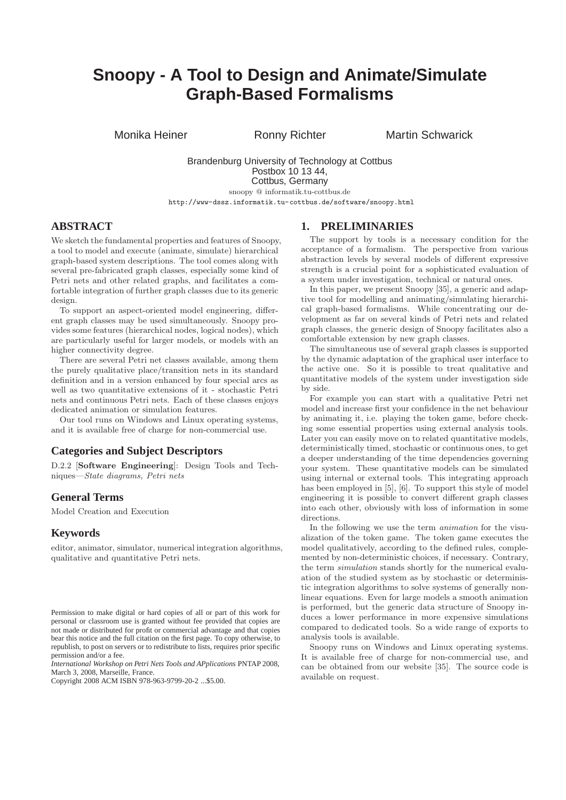# **Snoopy - A Tool to Design and Animate/Simulate Graph-Based Formalisms**

Monika Heiner **Ronny Richter** Martin Schwarick

Brandenburg University of Technology at Cottbus Postbox 10 13 44, Cottbus, Germany snoopy @ informatik.tu-cottbus.de

http://www-dssz.informatik.tu-cottbus.de/software/snoopy.html

# **ABSTRACT**

We sketch the fundamental properties and features of Snoopy, a tool to model and execute (animate, simulate) hierarchical graph-based system descriptions. The tool comes along with several pre-fabricated graph classes, especially some kind of Petri nets and other related graphs, and facilitates a comfortable integration of further graph classes due to its generic design.

To support an aspect-oriented model engineering, different graph classes may be used simultaneously. Snoopy provides some features (hierarchical nodes, logical nodes), which are particularly useful for larger models, or models with an higher connectivity degree.

There are several Petri net classes available, among them the purely qualitative place/transition nets in its standard definition and in a version enhanced by four special arcs as well as two quantitative extensions of it - stochastic Petri nets and continuous Petri nets. Each of these classes enjoys dedicated animation or simulation features.

Our tool runs on Windows and Linux operating systems, and it is available free of charge for non-commercial use.

#### **Categories and Subject Descriptors**

D.2.2 [**Software Engineering**]: Design Tools and Techniques—*State diagrams, Petri nets*

# **General Terms**

Model Creation and Execution

#### **Keywords**

editor, animator, simulator, numerical integration algorithms, qualitative and quantitative Petri nets.

*International Workshop on Petri Nets Tools and APplications* PNTAP 2008, March 3, 2008, Marseille, France.

Copyright 2008 ACM ISBN 978-963-9799-20-2 ...\$5.00.

#### **1. PRELIMINARIES**

The support by tools is a necessary condition for the acceptance of a formalism. The perspective from various abstraction levels by several models of different expressive strength is a crucial point for a sophisticated evaluation of a system under investigation, technical or natural ones.

In this paper, we present Snoopy [35], a generic and adaptive tool for modelling and animating/simulating hierarchical graph-based formalisms. While concentrating our development as far on several kinds of Petri nets and related graph classes, the generic design of Snoopy facilitates also a comfortable extension by new graph classes.

The simultaneous use of several graph classes is supported by the dynamic adaptation of the graphical user interface to the active one. So it is possible to treat qualitative and quantitative models of the system under investigation side by side.

For example you can start with a qualitative Petri net model and increase first your confidence in the net behaviour by animating it, i.e. playing the token game, before checking some essential properties using external analysis tools. Later you can easily move on to related quantitative models, deterministically timed, stochastic or continuous ones, to get a deeper understanding of the time dependencies governing your system. These quantitative models can be simulated using internal or external tools. This integrating approach has been employed in [5], [6]. To support this style of model engineering it is possible to convert different graph classes into each other, obviously with loss of information in some directions.

In the following we use the term *animation* for the visualization of the token game. The token game executes the model qualitatively, according to the defined rules, complemented by non-deterministic choices, if necessary. Contrary, the term *simulation* stands shortly for the numerical evaluation of the studied system as by stochastic or deterministic integration algorithms to solve systems of generally nonlinear equations. Even for large models a smooth animation is performed, but the generic data structure of Snoopy induces a lower performance in more expensive simulations compared to dedicated tools. So a wide range of exports to analysis tools is available.

Snoopy runs on Windows and Linux operating systems. It is available free of charge for non-commercial use, and can be obtained from our website [35]. The source code is available on request.

Permission to make digital or hard copies of all or part of this work for personal or classroom use is granted without fee provided that copies are not made or distributed for profit or commercial advantage and that copies bear this notice and the full citation on the first page. To copy otherwise, to republish, to post on servers or to redistribute to lists, requires prior specific permission and/or a fee.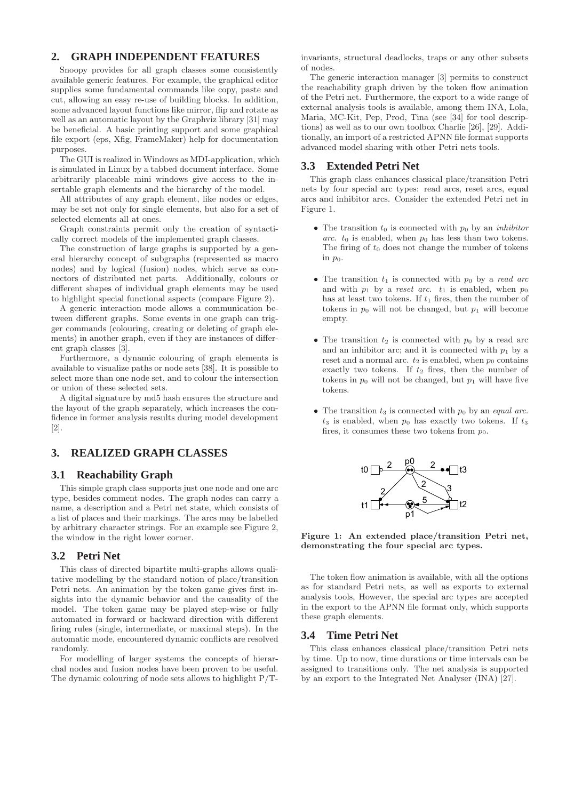# **2. GRAPH INDEPENDENT FEATURES**

Snoopy provides for all graph classes some consistently available generic features. For example, the graphical editor supplies some fundamental commands like copy, paste and cut, allowing an easy re-use of building blocks. In addition, some advanced layout functions like mirror, flip and rotate as well as an automatic layout by the Graphviz library [31] may be beneficial. A basic printing support and some graphical file export (eps, Xfig, FrameMaker) help for documentation purposes.

The GUI is realized in Windows as MDI-application, which is simulated in Linux by a tabbed document interface. Some arbitrarily placeable mini windows give access to the insertable graph elements and the hierarchy of the model.

All attributes of any graph element, like nodes or edges, may be set not only for single elements, but also for a set of selected elements all at ones.

Graph constraints permit only the creation of syntactically correct models of the implemented graph classes.

The construction of large graphs is supported by a general hierarchy concept of subgraphs (represented as macro nodes) and by logical (fusion) nodes, which serve as connectors of distributed net parts. Additionally, colours or different shapes of individual graph elements may be used to highlight special functional aspects (compare Figure 2).

A generic interaction mode allows a communication between different graphs. Some events in one graph can trigger commands (colouring, creating or deleting of graph elements) in another graph, even if they are instances of different graph classes [3].

Furthermore, a dynamic colouring of graph elements is available to visualize paths or node sets [38]. It is possible to select more than one node set, and to colour the intersection or union of these selected sets.

A digital signature by md5 hash ensures the structure and the layout of the graph separately, which increases the confidence in former analysis results during model development [2].

# **3. REALIZED GRAPH CLASSES**

## **3.1 Reachability Graph**

This simple graph class supports just one node and one arc type, besides comment nodes. The graph nodes can carry a name, a description and a Petri net state, which consists of a list of places and their markings. The arcs may be labelled by arbitrary character strings. For an example see Figure 2, the window in the right lower corner.

## **3.2 Petri Net**

This class of directed bipartite multi-graphs allows qualitative modelling by the standard notion of place/transition Petri nets. An animation by the token game gives first insights into the dynamic behavior and the causality of the model. The token game may be played step-wise or fully automated in forward or backward direction with different firing rules (single, intermediate, or maximal steps). In the automatic mode, encountered dynamic conflicts are resolved randomly.

For modelling of larger systems the concepts of hierarchal nodes and fusion nodes have been proven to be useful. The dynamic colouring of node sets allows to highlight P/T- invariants, structural deadlocks, traps or any other subsets of nodes.

The generic interaction manager [3] permits to construct the reachability graph driven by the token flow animation of the Petri net. Furthermore, the export to a wide range of external analysis tools is available, among them INA, Lola, Maria, MC-Kit, Pep, Prod, Tina (see [34] for tool descriptions) as well as to our own toolbox Charlie [26], [29]. Additionally, an import of a restricted APNN file format supports advanced model sharing with other Petri nets tools.

## **3.3 Extended Petri Net**

This graph class enhances classical place/transition Petri nets by four special arc types: read arcs, reset arcs, equal arcs and inhibitor arcs. Consider the extended Petri net in Figure 1.

- The transition  $t_0$  is connected with  $p_0$  by an *inhibitor arc.*  $t_0$  is enabled, when  $p_0$  has less than two tokens. The firing of  $t_0$  does not change the number of tokens in  $p_0$ .
- The transition  $t_1$  is connected with  $p_0$  by a *read arc* and with  $p_1$  by a *reset arc.*  $t_1$  is enabled, when  $p_0$ has at least two tokens. If  $t_1$  fires, then the number of tokens in  $p_0$  will not be changed, but  $p_1$  will become empty.
- The transition  $t_2$  is connected with  $p_0$  by a read arc and an inhibitor arc; and it is connected with  $p_1$  by a reset and a normal arc.  $t_2$  is enabled, when  $p_0$  contains exactly two tokens. If  $t_2$  fires, then the number of tokens in  $p_0$  will not be changed, but  $p_1$  will have five tokens.
- The transition  $t_3$  is connected with  $p_0$  by an *equal arc*.  $t_3$  is enabled, when  $p_0$  has exactly two tokens. If  $t_3$ fires, it consumes these two tokens from  $p_0$ .



**Figure 1: An extended place/transition Petri net, demonstrating the four special arc types.**

The token flow animation is available, with all the options as for standard Petri nets, as well as exports to external analysis tools, However, the special arc types are accepted in the export to the APNN file format only, which supports these graph elements.

## **3.4 Time Petri Net**

This class enhances classical place/transition Petri nets by time. Up to now, time durations or time intervals can be assigned to transitions only. The net analysis is supported by an export to the Integrated Net Analyser (INA) [27].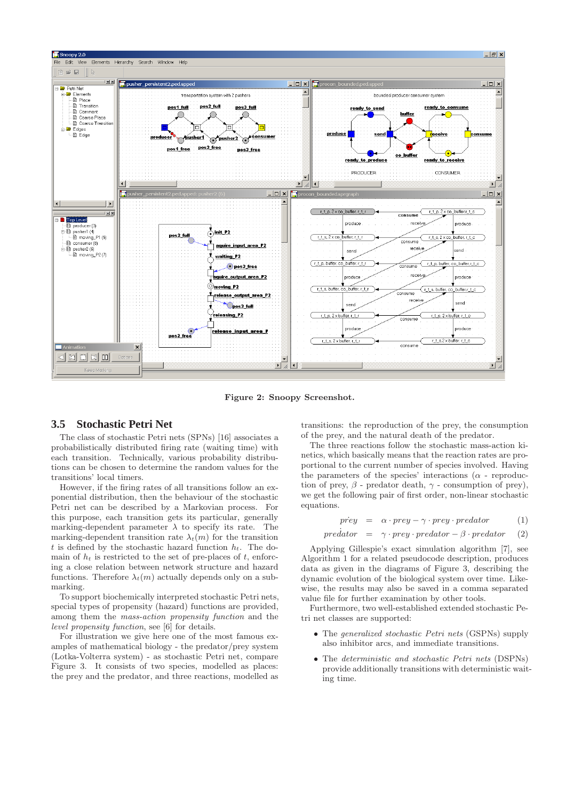

**Figure 2: Snoopy Screenshot.**

#### **3.5 Stochastic Petri Net**

The class of stochastic Petri nets (SPNs) [16] associates a probabilistically distributed firing rate (waiting time) with each transition. Technically, various probability distributions can be chosen to determine the random values for the transitions' local timers.

However, if the firing rates of all transitions follow an exponential distribution, then the behaviour of the stochastic Petri net can be described by a Markovian process. For this purpose, each transition gets its particular, generally marking-dependent parameter  $\lambda$  to specify its rate. The marking-dependent transition rate  $\lambda_t(m)$  for the transition t is defined by the stochastic hazard function  $h_t$ . The domain of  $h_t$  is restricted to the set of pre-places of  $t$ , enforcing a close relation between network structure and hazard functions. Therefore  $\lambda_t(m)$  actually depends only on a submarking.

To support biochemically interpreted stochastic Petri nets, special types of propensity (hazard) functions are provided, among them the *mass-action propensity function* and the *level propensity function*, see [6] for details.

For illustration we give here one of the most famous examples of mathematical biology - the predator/prey system (Lotka-Volterra system) - as stochastic Petri net, compare Figure 3. It consists of two species, modelled as places: the prey and the predator, and three reactions, modelled as transitions: the reproduction of the prey, the consumption of the prey, and the natural death of the predator.

The three reactions follow the stochastic mass-action kinetics, which basically means that the reaction rates are proportional to the current number of species involved. Having the parameters of the species' interactions ( $\alpha$  - reproduction of prey,  $\beta$  - predator death,  $\gamma$  - consumption of prey). we get the following pair of first order, non-linear stochastic equations.

$$
prey = \alpha \cdot prey - \gamma \cdot prey \cdot predator \qquad (1)
$$

$$
predator = \gamma \cdot prey \cdot predator - \beta \cdot predator \qquad (2)
$$

Applying Gillespie's exact simulation algorithm [7], see Algorithm 1 for a related pseudocode description, produces data as given in the diagrams of Figure 3, describing the dynamic evolution of the biological system over time. Likewise, the results may also be saved in a comma separated value file for further examination by other tools.

Furthermore, two well-established extended stochastic Petri net classes are supported:

- The *generalized stochastic Petri nets* (GSPNs) supply also inhibitor arcs, and immediate transitions.
- The *deterministic and stochastic Petri nets* (DSPNs) provide additionally transitions with deterministic waiting time.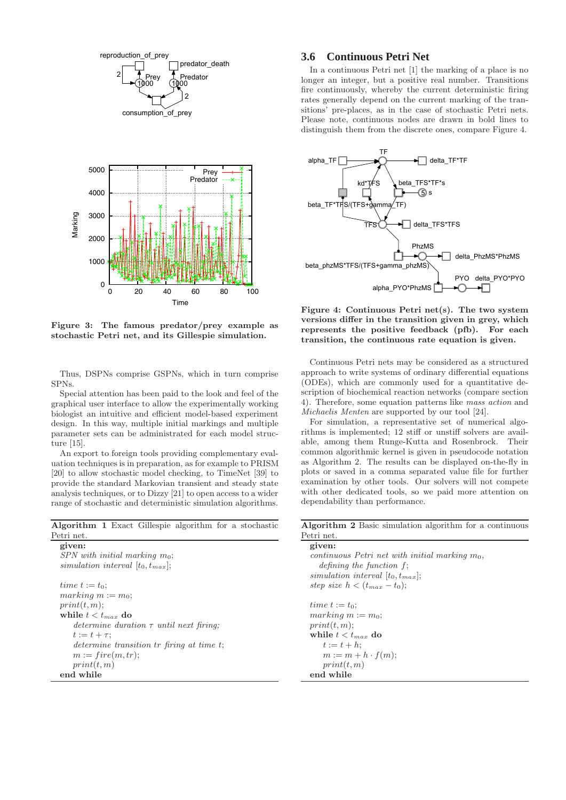



**Figure 3: The famous predator/prey example as stochastic Petri net, and its Gillespie simulation.**

Thus, DSPNs comprise GSPNs, which in turn comprise SPNs.

Special attention has been paid to the look and feel of the graphical user interface to allow the experimentally working biologist an intuitive and efficient model-based experiment design. In this way, multiple initial markings and multiple parameter sets can be administrated for each model structure [15].

An export to foreign tools providing complementary evaluation techniques is in preparation, as for example to PRISM [20] to allow stochastic model checking, to TimeNet [39] to provide the standard Markovian transient and steady state analysis techniques, or to Dizzy [21] to open access to a wider range of stochastic and deterministic simulation algorithms.

**Algorithm 1** Exact Gillespie algorithm for a stochastic Petri net

**given:** *SPN with initial marking* m0; *simulation interval*  $[t_0, t_{max}]$ ; time  $t := t_0$ ;  $marking m := m_0;$  $print(t, m);$ while  $t < t_{max}$  do *determine duration* τ *until next firing;*  $t := t + \tau$ : *determine transition* tr *firing at time t*;  $m := fire(m, tr);$  $print(t, m)$ **end while**

# **3.6 Continuous Petri Net**

In a continuous Petri net [1] the marking of a place is no longer an integer, but a positive real number. Transitions fire continuously, whereby the current deterministic firing rates generally depend on the current marking of the transitions' pre-places, as in the case of stochastic Petri nets. Please note, continuous nodes are drawn in bold lines to distinguish them from the discrete ones, compare Figure 4.



**Figure 4: Continuous Petri net(s). The two system versions differ in the transition given in grey, which represents the positive feedback (pfb). For each transition, the continuous rate equation is given.**

Continuous Petri nets may be considered as a structured approach to write systems of ordinary differential equations (ODEs), which are commonly used for a quantitative description of biochemical reaction networks (compare section 4). Therefore, some equation patterns like *mass action* and *Michaelis Menten* are supported by our tool [24].

For simulation, a representative set of numerical algorithms is implemented; 12 stiff or unstiff solvers are available, among them Runge-Kutta and Rosenbrock. Their common algorithmic kernel is given in pseudocode notation as Algorithm 2. The results can be displayed on-the-fly in plots or saved in a comma separated value file for further examination by other tools. Our solvers will not compete with other dedicated tools, so we paid more attention on dependability than performance.

**Algorithm 2** Basic simulation algorithm for a continuous Petri net.

**given:** *continuous Petri net with initial marking*  $m_0$ , *defining the function* f; *simulation interval*  $[t_0, t_{max}]$ ; step size  $h < (t_{max} - t_0);$ time  $t := t_0$ ;  $marking m := m_0;$  $print(t, m);$ while  $t < t_{max}$  do  $t := t + h;$  $m := m + h \cdot f(m);$  $print(t, m)$ **end while**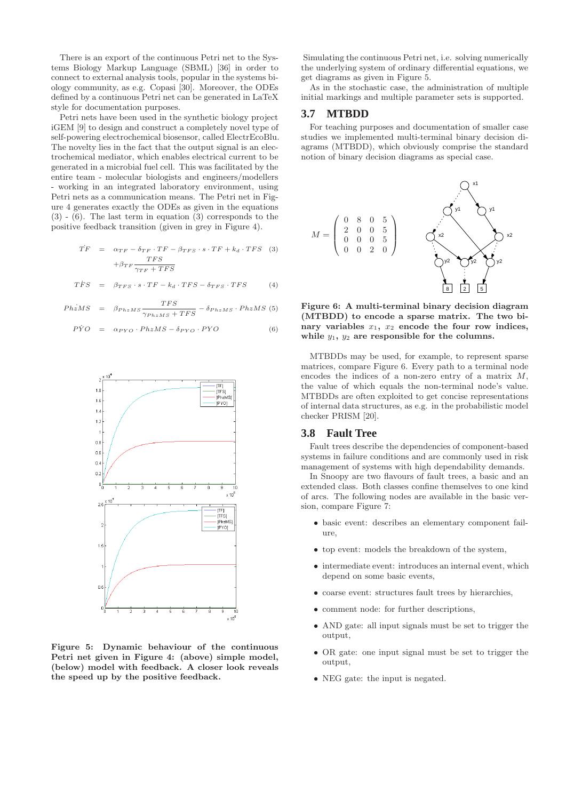There is an export of the continuous Petri net to the Systems Biology Markup Language (SBML) [36] in order to connect to external analysis tools, popular in the systems biology community, as e.g. Copasi [30]. Moreover, the ODEs defined by a continuous Petri net can be generated in LaTeX style for documentation purposes.

Petri nets have been used in the synthetic biology project iGEM [9] to design and construct a completely novel type of self-powering electrochemical biosensor, called ElectrEcoBlu. The novelty lies in the fact that the output signal is an electrochemical mediator, which enables electrical current to be generated in a microbial fuel cell. This was facilitated by the entire team - molecular biologists and engineers/modellers - working in an integrated laboratory environment, using Petri nets as a communication means. The Petri net in Figure 4 generates exactly the ODEs as given in the equations  $(3)$  -  $(6)$ . The last term in equation  $(3)$  corresponds to the positive feedback transition (given in grey in Figure 4).

$$
\begin{aligned}\n\dot{T}F &= \alpha_{TF} - \delta_{TF} \cdot TF - \beta_{TFS} \cdot s \cdot TF + k_d \cdot TFS \quad (3) \\
&+ \beta_{TF} \frac{TFS}{\gamma_{TF} + TFS}\n\end{aligned}
$$

$$
\dot{TFS} = \beta_{TFS} \cdot s \cdot TF - k_d \cdot TFS - \delta_{TFS} \cdot TFS \tag{4}
$$

$$
PhzMS = \beta_{PhzMS} \frac{TFS}{\gamma_{PhzMS} + TFS} - \delta_{PhzMS} \cdot PhzMS \tag{5}
$$

$$
P\dot{Y}O = \alpha_{PYO} \cdot PhzMS - \delta_{PYO} \cdot PYO \tag{6}
$$



**Figure 5: Dynamic behaviour of the continuous Petri net given in Figure 4: (above) simple model, (below) model with feedback. A closer look reveals the speed up by the positive feedback.**

Simulating the continuous Petri net, i.e. solving numerically the underlying system of ordinary differential equations, we get diagrams as given in Figure 5.

As in the stochastic case, the administration of multiple initial markings and multiple parameter sets is supported.

#### **3.7 MTBDD**

For teaching purposes and documentation of smaller case studies we implemented multi-terminal binary decision diagrams (MTBDD), which obviously comprise the standard notion of binary decision diagrams as special case.



**Figure 6: A multi-terminal binary decision diagram (MTBDD) to encode a sparse matrix. The two bi**nary variables  $x_1$ ,  $x_2$  encode the four row indices, while  $y_1$ ,  $y_2$  are responsible for the columns.

MTBDDs may be used, for example, to represent sparse matrices, compare Figure 6. Every path to a terminal node encodes the indices of a non-zero entry of a matrix M, the value of which equals the non-terminal node's value. MTBDDs are often exploited to get concise representations of internal data structures, as e.g. in the probabilistic model checker PRISM [20].

#### **3.8 Fault Tree**

Fault trees describe the dependencies of component-based systems in failure conditions and are commonly used in risk management of systems with high dependability demands.

In Snoopy are two flavours of fault trees, a basic and an extended class. Both classes confine themselves to one kind of arcs. The following nodes are available in the basic version, compare Figure 7:

- basic event: describes an elementary component failure,
- top event: models the breakdown of the system,
- intermediate event: introduces an internal event, which depend on some basic events,
- $\bullet\,$  coarse event: structures fault trees by hierarchies,
- comment node: for further descriptions,
- AND gate: all input signals must be set to trigger the output,
- OR gate: one input signal must be set to trigger the output,
- NEG gate: the input is negated.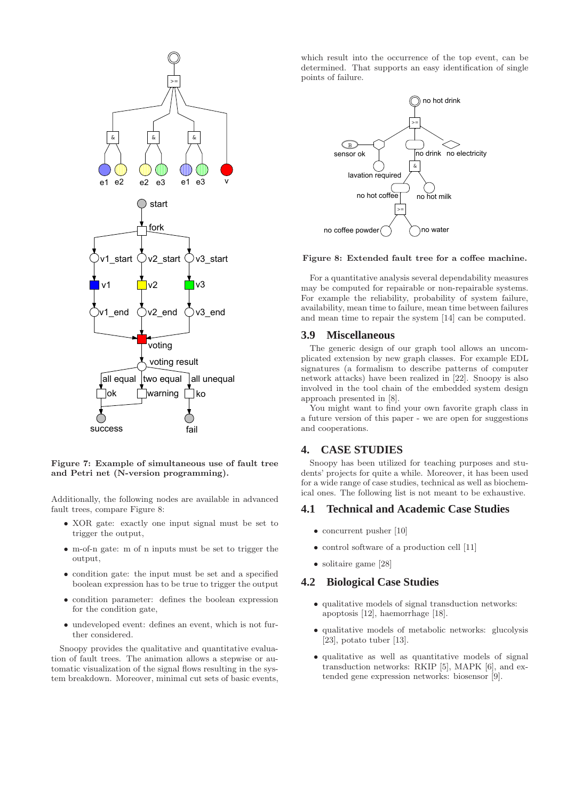

**Figure 7: Example of simultaneous use of fault tree and Petri net (N-version programming).**

Additionally, the following nodes are available in advanced fault trees, compare Figure 8:

- XOR gate: exactly one input signal must be set to trigger the output,
- m-of-n gate: m of n inputs must be set to trigger the output,
- condition gate: the input must be set and a specified boolean expression has to be true to trigger the output
- condition parameter: defines the boolean expression for the condition gate,
- undeveloped event: defines an event, which is not further considered.

Snoopy provides the qualitative and quantitative evaluation of fault trees. The animation allows a stepwise or automatic visualization of the signal flows resulting in the system breakdown. Moreover, minimal cut sets of basic events,

which result into the occurrence of the top event, can be determined. That supports an easy identification of single points of failure.



#### **Figure 8: Extended fault tree for a coffee machine.**

For a quantitative analysis several dependability measures may be computed for repairable or non-repairable systems. For example the reliability, probability of system failure, availability, mean time to failure, mean time between failures and mean time to repair the system [14] can be computed.

#### **3.9 Miscellaneous**

The generic design of our graph tool allows an uncomplicated extension by new graph classes. For example EDL signatures (a formalism to describe patterns of computer network attacks) have been realized in [22]. Snoopy is also involved in the tool chain of the embedded system design approach presented in [8].

You might want to find your own favorite graph class in a future version of this paper - we are open for suggestions and cooperations.

## **4. CASE STUDIES**

Snoopy has been utilized for teaching purposes and students' projects for quite a while. Moreover, it has been used for a wide range of case studies, technical as well as biochemical ones. The following list is not meant to be exhaustive.

#### **4.1 Technical and Academic Case Studies**

- concurrent pusher [10]
- control software of a production cell [11]
- solitaire game [28]

#### **4.2 Biological Case Studies**

- qualitative models of signal transduction networks: apoptosis [12], haemorrhage [18].
- qualitative models of metabolic networks: glucolysis [23], potato tuber [13].
- qualitative as well as quantitative models of signal transduction networks: RKIP [5], MAPK [6], and extended gene expression networks: biosensor [9].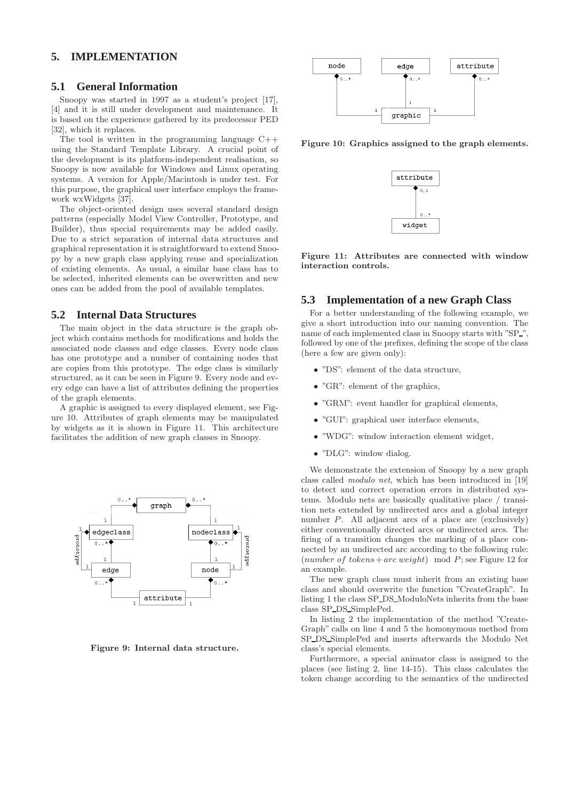# **5. IMPLEMENTATION**

#### **5.1 General Information**

Snoopy was started in 1997 as a student's project [17], [4] and it is still under development and maintenance. It is based on the experience gathered by its predecessor PED [32], which it replaces.

The tool is written in the programming language C++ using the Standard Template Library. A crucial point of the development is its platform-independent realisation, so Snoopy is now available for Windows and Linux operating systems. A version for Apple/Macintosh is under test. For this purpose, the graphical user interface employs the framework wxWidgets [37].

The object-oriented design uses several standard design patterns (especially Model View Controller, Prototype, and Builder), thus special requirements may be added easily. Due to a strict separation of internal data structures and graphical representation it is straightforward to extend Snoopy by a new graph class applying reuse and specialization of existing elements. As usual, a similar base class has to be selected, inherited elements can be overwritten and new ones can be added from the pool of available templates.

#### **5.2 Internal Data Structures**

The main object in the data structure is the graph object which contains methods for modifications and holds the associated node classes and edge classes. Every node class has one prototype and a number of containing nodes that are copies from this prototype. The edge class is similarly structured, as it can be seen in Figure 9. Every node and every edge can have a list of attributes defining the properties of the graph elements.

A graphic is assigned to every displayed element, see Figure 10. Attributes of graph elements may be manipulated by widgets as it is shown in Figure 11. This architecture facilitates the addition of new graph classes in Snoopy.



**Figure 9: Internal data structure.**



**Figure 10: Graphics assigned to the graph elements.**



**Figure 11: Attributes are connected with window interaction controls.**

#### **5.3 Implementation of a new Graph Class**

For a better understanding of the following example, we give a short introduction into our naming convention. The name of each implemented class in Snoopy starts with "SP\_". followed by one of the prefixes, defining the scope of the class (here a few are given only):

- "DS": element of the data structure,
- "GR": element of the graphics,
- "GRM": event handler for graphical elements,
- "GUI": graphical user interface elements,
- "WDG": window interaction element widget,
- "DLG": window dialog.

We demonstrate the extension of Snoopy by a new graph class called *modulo net*, which has been introduced in [19] to detect and correct operation errors in distributed systems. Modulo nets are basically qualitative place / transition nets extended by undirected arcs and a global integer number P. All adjacent arcs of a place are (exclusively) either conventionally directed arcs or undirected arcs. The firing of a transition changes the marking of a place connected by an undirected arc according to the following rule: (number of tokens + arc weight) mod P; see Figure 12 for an example.

The new graph class must inherit from an existing base class and should overwrite the function "CreateGraph". In listing 1 the class SP DS ModuloNets inherits from the base class SP DS SimplePed.

In listing 2 the implementation of the method "Create-Graph" calls on line 4 and 5 the homonymous method from SP DS SimplePed and inserts afterwards the Modulo Net class's special elements.

Furthermore, a special animator class is assigned to the places (see listing 2, line 14-15). This class calculates the token change according to the semantics of the undirected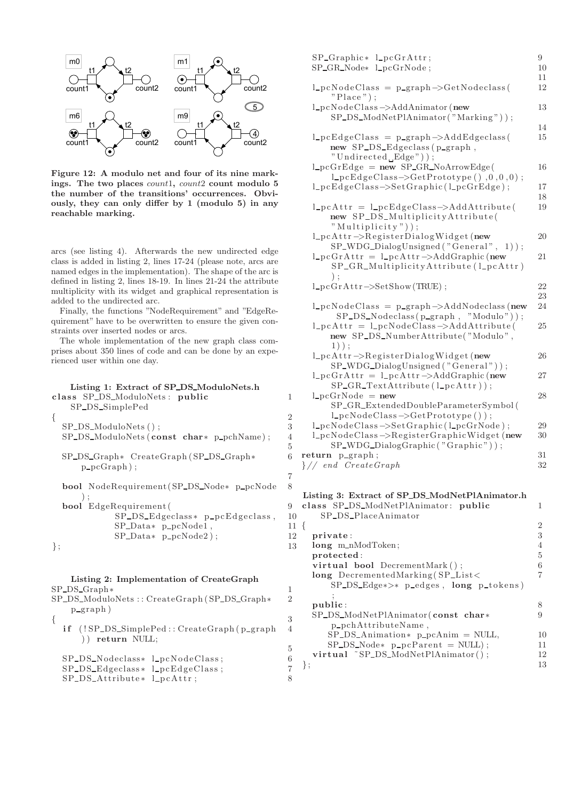

**Figure 12: A modulo net and four of its nine mark**ings. The two places *count1*, *count2* **count modulo 5 the number of the transitions' occurrences. Obviously, they can only differ by 1 (modulo 5) in any reachable marking.**

arcs (see listing 4). Afterwards the new undirected edge class is added in listing 2, lines 17-24 (please note, arcs are named edges in the implementation). The shape of the arc is defined in listing 2, lines 18-19. In lines 21-24 the attribute multiplicity with its widget and graphical representation is added to the undirected arc.

Finally, the functions "NodeRequirement" and "EdgeRequirement" have to be overwritten to ensure the given constraints over inserted nodes or arcs.

The whole implementation of the new graph class comprises about 350 lines of code and can be done by an experienced user within one day.

# **Listing 1: Extract of SP DS ModuloNets.h class** SP DS ModuloNets : **public** 1 SP\_DS\_SimplePed  $\{$  $SP\_DS\_ModuloNets$  ( );  $3$ SP\_DS\_ModuloNets (**const char**∗ p\_pchName); 4 SP DS Graph∗ CreateGraph (SP DS Graph∗ 6  $p_{p}cGraph$  ); **bool** NodeRequirement(SP\_DS\_Node∗ p\_pcNode 8 ) ; **bool** EdgeRequirement( 9 SP\_DS\_Edgeclass\* p\_pcEdgeclass, 10 SP\_Data∗ p\_pcNode1, 11  $SP\_Data* p\_pcNode2$  ; 12  $\}$ ; 13 **Listing 2: Implementation of CreateGraph** SP\_DS\_Graph∗<br>SP\_DS\_ModuloNets:: CreateGraph (SP\_DS\_Graph∗ = 2 SP DS ModuloNets : : CreateGraph (SP DS Graph∗ 2  $p_{\text{graph}}$ )

 $\{$  $if$  (! $SP\_DS\_SimplePed :: CreateGraph(p\_graph 4)$ ) ) **return** NULL;

| SP_DS_Nodeclass* l_pcNodeClass;       |  |
|---------------------------------------|--|
| $SP\_DS\_Edgesclass* 1_p cEdgeClass;$ |  |
| $SP\_{DS\_{Attribute*}$ $l\_pcdttr;$  |  |

| SP_Graphic* l_pcGrAttr;<br>SP_GR_Node* l_pcGrNode;                                                                                                                                                     | 9<br>10     |
|--------------------------------------------------------------------------------------------------------------------------------------------------------------------------------------------------------|-------------|
| $l_p cNodeClass = p-graph \rightarrow GetNodeclass($<br>$"Place"$ ;                                                                                                                                    | 11<br>12    |
| 1_pcNodeClass ->AddAnimator (new<br>SP_DS_ModNetPlAnimator("Marking"));                                                                                                                                | 13          |
| $l_p cEdgeClass = p_sph \rightarrow AddEdgeclass($<br>new SP_DS_Edgeclass(p_graph,<br>"Undirected_Edge"));                                                                                             | 14<br>15    |
| $l_pcGrEdge = new SP_GR_NoArrowEdge($<br>$l$ -pcEdgeClass->GetPrototype(),0,0,0);<br>l_pcEdgeClass->SetGraphic(l_pcGrEdge);                                                                            | 16<br>17    |
| $l_pcAttr = l_pcEdgeClass \rightarrow AddAttribute($<br>new SP_DS_MultiplicityAttribute(                                                                                                               | 18<br>19    |
| "Multiplicity" $))$ ;<br>l_pcAttr->RegisterDialogWidget(new<br>SP_WDG_DialogUnsigned("General", 1));                                                                                                   | 20          |
| $l_p cGrAttr = l_p cAttr \rightarrow AddGraphic$ (new<br>SP_GR_MultiplicityAttribute(l_pcAttr)<br>$)$ :                                                                                                | 21          |
| $l\_pcGrAttr \rightarrow SetShow(TRUE)$ ;                                                                                                                                                              | 22<br>23    |
| $l_p cNodeClass = p-graph \rightarrow AddNodeclass(new$<br>$SP\_DS\_Nodeclass(p\_graph, "Modulo"))$ ;<br>$l_p cAttr = l_p cNodeClass \rightarrow AddAttribute($<br>new SP_DS_NumberAttribute("Modulo", | 24<br>25    |
| $1)$ ) ;<br>l_pcAttr->RegisterDialogWidget(new                                                                                                                                                         | 26          |
| SP_WDG_DialogUnsigned("General"));<br>$l_p cGrAttr = l_p cAttr \rightarrow AddGraphic$ (new<br>$SP_GR_TextAttribute(l_pcAttr));$                                                                       | 27          |
| $l\_pcGrNode = new$<br>SP_GR_ExtendedDoubleParameterSymbol(<br>$l\_pcNodeClass \rightarrow GetPrototype());$<br>l_pcNodeClass ->SetGraphic(l_pcGrNode);                                                | 28<br>29    |
| l_pcNodeClass->RegisterGraphicWidget(new<br>SP_WDG_DialogGraphic("Graphic"));                                                                                                                          | 30          |
| return p_graph;<br>$\}/$ end CreateGraph                                                                                                                                                               | 31<br>32    |
| Listing 3: Extract of SP_DS_ModNetPlAnimator.h<br>class SP_DS_ModNetPlAnimator: public                                                                                                                 | 1           |
| SP_DS_PlaceAnimator<br>{                                                                                                                                                                               | 2           |
| private:<br>long m_nModToken;<br>protected:                                                                                                                                                            | 3<br>4<br>5 |
| virtual bool DecrementMark();<br>long DecrementedMarking(SP_List<<br>$SP\_\_\_\\_Edge*$ $p\_\$ edges, $long\$ $p\_\$ $tokens)$                                                                         | 6<br>7      |
| public:<br>SP_DS_ModNetPlAnimator(const char*                                                                                                                                                          | 8<br>9      |
| p_pchAttributeName,<br>$SP\_DS\_Animation* p\_pcAnim = NULL,$                                                                                                                                          | 10          |

 $SP\_DS\_Node*$  p\_pcP arent = NULL); 11 **virtual** ~SP\_DS\_ModNetPlAnimator(); 12  $\}$ ; 13

5

5

7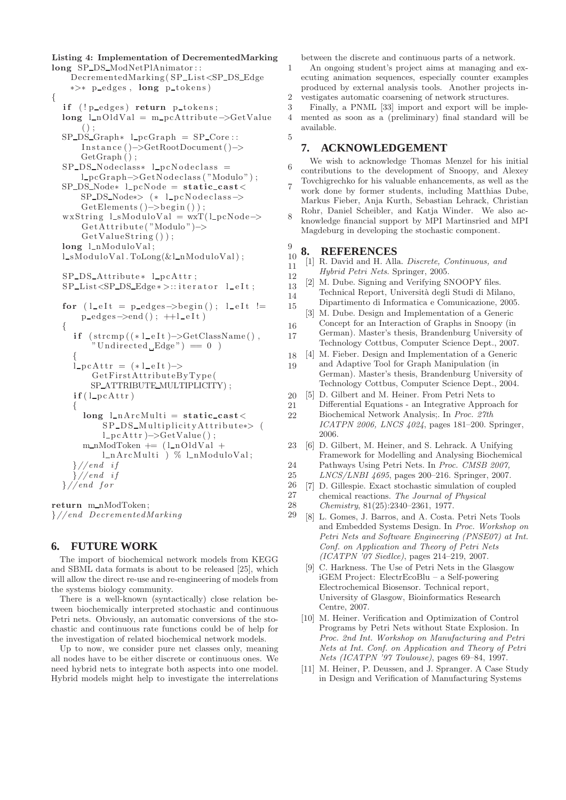**Listing 4: Implementation of DecrementedMarking long** SP\_DS\_ModNetPlAnimator:: 1

DecrementedMarking(SP\_List<SP\_DS\_Edge ∗>∗ p edges , **long** p tokens)  $\{$ **if** (!p\_edges) **return** p\_tokens; 3 long l\_nOldVal = m\_pcAttribute->GetValue 4  $()$  ;  $SP\_DS\_Graph*$   $l\_pcGraph = SP\_Core ::$  5 Instance ()−>GetRootDocument( )−> GetGraph ();  $SP$  DS Nodeclass<sup>∗</sup> l pcNodeclass = 6 l pcGraph−>GetNodeclass ( "Modulo ") ;  $SP\_\text{DS-Node*}$   $l\_\text{pcNode} = \text{static}\_\text{cast}$  7 SP\_DS\_Node∗> (\* l\_pcNodeclass->  $GetElements() \rightarrow begin()$ ; wxString  $l\_sModuloVal = wxT(l\_pcNode \rightarrow 8$ GetAttribute ("Modulo")–> GetValueString () ); **long**  $l_n$ ModuloVal; 9  $l\_sModuloVal$ .  $Tolong(&l\_nModuloVal$  ;  $10$  $SP-DS\_Attribute*$   $l\_pcAttr$ ; 12 SP\_List<SP\_DS\_Edge ∗ >:: iterator l\_eIt; 13 for  $(l$  eIt = p edges ->begin();  $l$  eIt  $!=$  15  $p\_edges \rightarrow end()$ ;  $++l\_eIt)$  $\{$  16 **if**  $(\text{stremp}((*l_e1 \text{et} )-\text{SetClassName})),$  17  $"$ Undirected  $Edge") = 0$ )  $\{$  18  $\angle$  pcAttr = (\* $l$  eIt )–> 19 GetFirstAttributeByType( SP\_ATTRIBUTE\_MULTIPLICITY);  $\mathbf{if}(\mathbf{l}\_p\mathbf{c}\mathbf{Attr})$  20  $\{$  21  $\text{long } \text{l-nArchulti} = \text{static}\text{-}\text{cast}$  < 22 SP\_DS\_MultiplicityAttribute∗> ( l pcAttr )−>GetValue() ;  $m_n \text{Mod}$ Token  $+= (l_n \text{OldVal} + 23)$ l\_nArcMulti ) % l\_nModuloVal;

$$
\frac{1}{24} \times \frac{24}{1000}
$$
  
  $\frac{1}{25}$   
  $\frac{1}{25}$   
  $\frac{24}{25}$   
  $\frac{25}{26}$   
  $\frac{25}{26}$ 

**return** m\_nModToken; 28 }*//end DecrementedMarking* 29

## **6. FUTURE WORK**

The import of biochemical network models from KEGG and SBML data formats is about to be released [25], which will allow the direct re-use and re-engineering of models from the systems biology community.

There is a well-known (syntactically) close relation between biochemically interpreted stochastic and continuous Petri nets. Obviously, an automatic conversions of the stochastic and continuous rate functions could be of help for the investigation of related biochemical network models.

Up to now, we consider pure net classes only, meaning all nodes have to be either discrete or continuous ones. We need hybrid nets to integrate both aspects into one model. Hybrid models might help to investigate the interrelations

between the discrete and continuous parts of a network.

An ongoing student's project aims at managing and executing animation sequences, especially counter examples produced by external analysis tools. Another projects investigates automatic coarsening of network structures.

Finally, a PNML [33] import and export will be implemented as soon as a (preliminary) final standard will be available.

## **7. ACKNOWLEDGEMENT**

- We wish to acknowledge Thomas Menzel for his initial contributions to the development of Snoopy, and Alexey Tovchigrechko for his valuable enhancements, as well as the
- work done by former students, including Matthias Dube, Markus Fieber, Anja Kurth, Sebastian Lehrack, Christian Rohr, Daniel Scheibler, and Katja Winder. We also ac-
- knowledge financial support by MPI Martinsried and MPI Magdeburg in developing the stochastic component.

#### **8. REFERENCES**

- 11 [1] R. David and H. Alla. *Discrete, Continuous, and*
	- *Hybrid Petri Nets*. Springer, 2005.
- 14 [2] M. Dube. Signing and Verifying SNOOPY files. Technical Report, Universit`a degli Studi di Milano, Dipartimento di Informatica e Comunicazione, 2005.
	- [3] M. Dube. Design and Implementation of a Generic
	- Concept for an Interaction of Graphs in Snoopy (in German). Master's thesis, Brandenburg University of Technology Cottbus, Computer Science Dept., 2007.
- [4] M. Fieber. Design and Implementation of a Generic and Adaptive Tool for Graph Manipulation (in German). Master's thesis, Brandenburg University of Technology Cottbus, Computer Science Dept., 2004.
- [5] D. Gilbert and M. Heiner. From Petri Nets to Differential Equations - an Integrative Approach for
- Biochemical Network Analysis;. In *Proc. 27th ICATPN 2006, LNCS 4024*, pages 181–200. Springer, 2006.
- [6] D. Gilbert, M. Heiner, and S. Lehrack. A Unifying Framework for Modelling and Analysing Biochemical Pathways Using Petri Nets. In *Proc. CMSB 2007,*
- *LNCS/LNBI 4695*, pages 200–216. Springer, 2007.
- 27 [7] D. Gillespie. Exact stochastic simulation of coupled chemical reactions. *The Journal of Physical*
- *Chemistry*, 81(25):2340–2361, 1977.
- [8] L. Gomes, J. Barros, and A. Costa. Petri Nets Tools and Embedded Systems Design. In *Proc. Workshop on Petri Nets and Software Engineering (PNSE07) at Int. Conf. on Application and Theory of Petri Nets (ICATPN '07 Siedlce)*, pages 214–219, 2007.
	- [9] C. Harkness. The Use of Petri Nets in the Glasgow iGEM Project: ElectrEcoBlu – a Self-powering Electrochemical Biosensor. Technical report, University of Glasgow, Bioinformatics Research Centre, 2007.
	- [10] M. Heiner. Verification and Optimization of Control Programs by Petri Nets without State Explosion. In *Proc. 2nd Int. Workshop on Manufacturing and Petri Nets at Int. Conf. on Application and Theory of Petri Nets (ICATPN '97 Toulouse)*, pages 69–84, 1997.
	- [11] M. Heiner, P. Deussen, and J. Spranger. A Case Study in Design and Verification of Manufacturing Systems